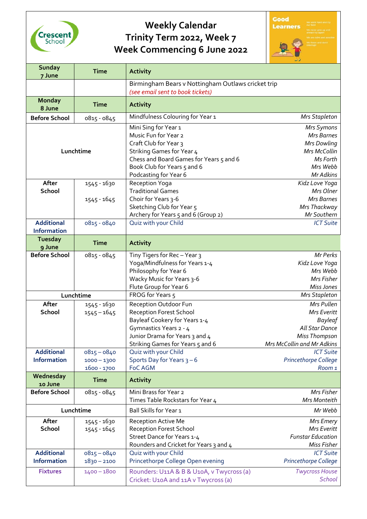

## **Weekly Calendar Trinity Term 2022, Week 7 Week Commencing 6 June 2022**



| <b>Sunday</b><br>7 June                 | <b>Time</b>   | <b>Activity</b>                                                                        |                             |
|-----------------------------------------|---------------|----------------------------------------------------------------------------------------|-----------------------------|
|                                         |               | Birmingham Bears v Nottingham Outlaws cricket trip<br>(see email sent to book tickets) |                             |
| <b>Monday</b><br>8 June                 | <b>Time</b>   | <b>Activity</b>                                                                        |                             |
| <b>Before School</b>                    | 0815 - 0845   | Mindfulness Colouring for Year 1                                                       | <b>Mrs Stapleton</b>        |
|                                         |               | Mini Sing for Year 1                                                                   | Mrs Symons                  |
|                                         |               | Music Fun for Year 2                                                                   | <b>Mrs Barnes</b>           |
|                                         |               | Craft Club for Year 3                                                                  | Mrs Dowling                 |
| Lunchtime                               |               | Striking Games for Year 4                                                              | Mrs McCollin                |
|                                         |               | Chess and Board Games for Years 5 and 6                                                | Ms Forth                    |
|                                         |               | Book Club for Years 5 and 6                                                            | Mrs Webb<br>Mr Adkins       |
| After                                   | 1545 - 1630   | Podcasting for Year 6<br>Reception Yoga                                                | Kidz Love Yoga              |
| School                                  |               | <b>Traditional Games</b>                                                               | Mrs Olner                   |
|                                         | 1545 - 1645   | Choir for Years 3-6                                                                    | <b>Mrs Barnes</b>           |
|                                         |               | Sketching Club for Year 5                                                              | Mrs Thackway                |
|                                         |               | Archery for Years 5 and 6 (Group 2)                                                    | Mr Southern                 |
| <b>Additional</b>                       | 0815 - 0840   | Quiz with your Child                                                                   | <b>ICT Suite</b>            |
| <b>Information</b>                      |               |                                                                                        |                             |
| <b>Tuesday</b>                          | <b>Time</b>   | <b>Activity</b>                                                                        |                             |
| 9 June                                  |               |                                                                                        |                             |
| <b>Before School</b>                    | 0815 - 0845   | Tiny Tigers for Rec-Year 3                                                             | Mr Perks                    |
|                                         |               | Yoga/Mindfulness for Years 1-4                                                         | Kidz Love Yoga              |
|                                         |               | Philosophy for Year 6                                                                  | Mrs Webb                    |
|                                         |               | Wacky Music for Years 3-6                                                              | Mrs Fisher                  |
|                                         |               | Flute Group for Year 6<br>FROG for Years 5                                             | Miss Jones                  |
|                                         | Lunchtime     |                                                                                        | <b>Mrs Stapleton</b>        |
| After<br><b>School</b>                  | 1545 - 1630   | Reception Outdoor Fun<br><b>Reception Forest School</b>                                | Mrs Pullen<br>Mrs Everitt   |
|                                         | $1545 - 1645$ | Bayleaf Cookery for Years 1-4                                                          | <b>Bayleaf</b>              |
|                                         |               | Gymnastics Years 2 - 4                                                                 | All Star Dance              |
|                                         |               | Junior Drama for Years 3 and 4                                                         | <b>Miss Thompson</b>        |
|                                         |               | Striking Games for Years 5 and 6                                                       | Mrs McCollin and Mr Adkins  |
| <b>Additional</b>                       | $0815 - 0840$ | Quiz with your Child                                                                   | <b>ICT Suite</b>            |
| <b>Information</b>                      | $1000 - 1300$ | Sports Day for Years $3-6$                                                             | <b>Princethorpe College</b> |
|                                         | 1600 - 1700   | <b>FoC AGM</b>                                                                         | Room 1                      |
| Wednesday<br>10 June                    | <b>Time</b>   | <b>Activity</b>                                                                        |                             |
| <b>Before School</b>                    | 0815 - 0845   | Mini Brass for Year 2                                                                  | Mrs Fisher                  |
|                                         |               | Times Table Rockstars for Year 4                                                       | Mrs Monteith                |
| Lunchtime                               |               | Ball Skills for Year 1                                                                 | Mr Webb                     |
| After                                   | 1545 - 1630   | <b>Reception Active Me</b>                                                             | <b>Mrs Emery</b>            |
| School                                  | $1545 - 1645$ | <b>Reception Forest School</b>                                                         | Mrs Everitt                 |
|                                         |               | Street Dance for Years 1-4                                                             | <b>Funstar Education</b>    |
|                                         |               | Rounders and Cricket for Years 3 and 4                                                 | Miss Fisher                 |
| <b>Additional</b><br><b>Information</b> | $0815 - 0840$ | Quiz with your Child                                                                   | <b>ICT Suite</b>            |
|                                         | $1830 - 2100$ | Princethorpe College Open evening                                                      | Princethorpe College        |
| <b>Fixtures</b>                         | $1400 - 1800$ | Rounders: U11A & B & U10A, v Twycross (a)                                              | <b>Twycross House</b>       |
|                                         |               | Cricket: U10A and 11A v Twycross (a)                                                   | School                      |